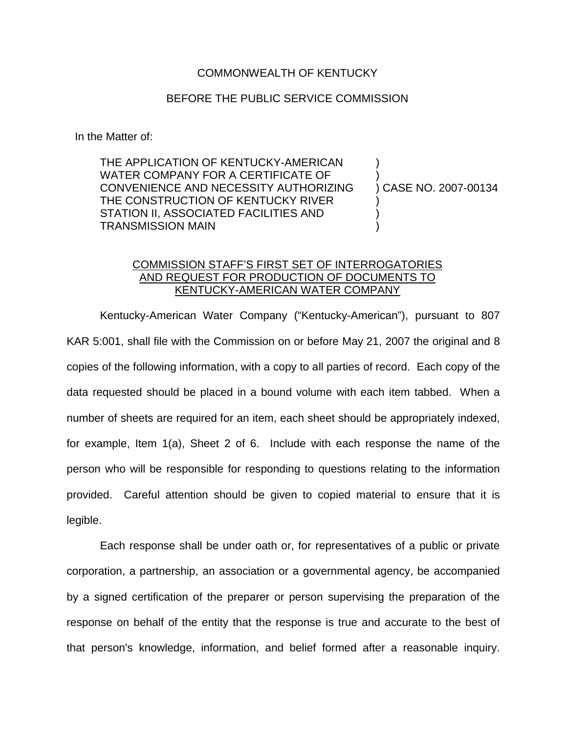## COMMONWEALTH OF KENTUCKY

## BEFORE THE PUBLIC SERVICE COMMISSION

In the Matter of:

THE APPLICATION OF KENTUCKY-AMERICAN WATER COMPANY FOR A CERTIFICATE OF CONVENIENCE AND NECESSITY AUTHORIZING THE CONSTRUCTION OF KENTUCKY RIVER STATION II, ASSOCIATED FACILITIES AND TRANSMISSION MAIN

) CASE NO. 2007-00134

) )

) ) )

## COMMISSION STAFF'S FIRST SET OF INTERROGATORIES AND REQUEST FOR PRODUCTION OF DOCUMENTS TO KENTUCKY-AMERICAN WATER COMPANY

Kentucky-American Water Company ("Kentucky-American"), pursuant to 807 KAR 5:001, shall file with the Commission on or before May 21, 2007 the original and 8 copies of the following information, with a copy to all parties of record. Each copy of the data requested should be placed in a bound volume with each item tabbed. When a number of sheets are required for an item, each sheet should be appropriately indexed, for example, Item 1(a), Sheet 2 of 6. Include with each response the name of the person who will be responsible for responding to questions relating to the information provided. Careful attention should be given to copied material to ensure that it is legible.

Each response shall be under oath or, for representatives of a public or private corporation, a partnership, an association or a governmental agency, be accompanied by a signed certification of the preparer or person supervising the preparation of the response on behalf of the entity that the response is true and accurate to the best of that person's knowledge, information, and belief formed after a reasonable inquiry.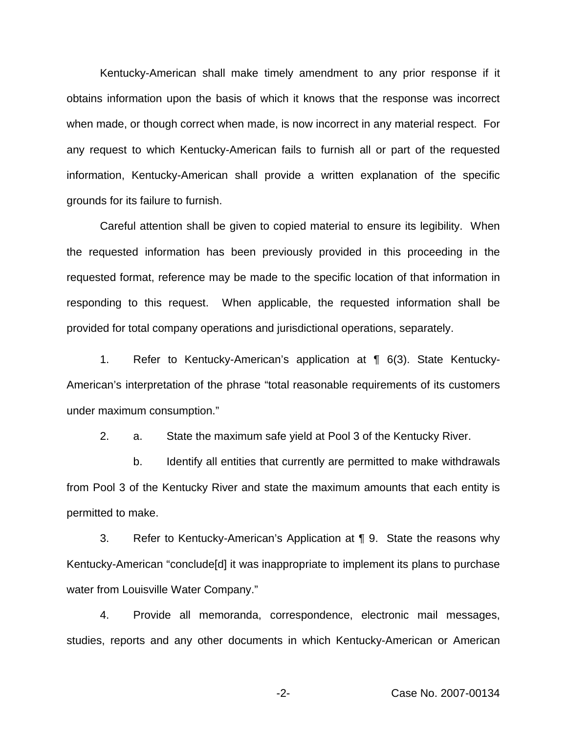Kentucky-American shall make timely amendment to any prior response if it obtains information upon the basis of which it knows that the response was incorrect when made, or though correct when made, is now incorrect in any material respect. For any request to which Kentucky-American fails to furnish all or part of the requested information, Kentucky-American shall provide a written explanation of the specific grounds for its failure to furnish.

Careful attention shall be given to copied material to ensure its legibility. When the requested information has been previously provided in this proceeding in the requested format, reference may be made to the specific location of that information in responding to this request. When applicable, the requested information shall be provided for total company operations and jurisdictional operations, separately.

1. Refer to Kentucky-American's application at ¶ 6(3). State Kentucky-American's interpretation of the phrase "total reasonable requirements of its customers under maximum consumption."

2. a. State the maximum safe yield at Pool 3 of the Kentucky River.

b. Identify all entities that currently are permitted to make withdrawals from Pool 3 of the Kentucky River and state the maximum amounts that each entity is permitted to make.

3. Refer to Kentucky-American's Application at ¶ 9. State the reasons why Kentucky-American "conclude[d] it was inappropriate to implement its plans to purchase water from Louisville Water Company."

4. Provide all memoranda, correspondence, electronic mail messages, studies, reports and any other documents in which Kentucky-American or American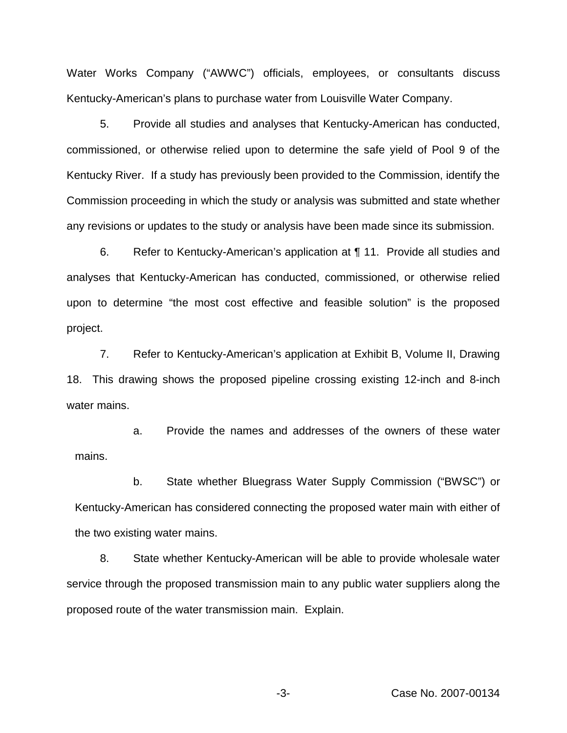Water Works Company ("AWWC") officials, employees, or consultants discuss Kentucky-American's plans to purchase water from Louisville Water Company.

5. Provide all studies and analyses that Kentucky-American has conducted, commissioned, or otherwise relied upon to determine the safe yield of Pool 9 of the Kentucky River. If a study has previously been provided to the Commission, identify the Commission proceeding in which the study or analysis was submitted and state whether any revisions or updates to the study or analysis have been made since its submission.

6. Refer to Kentucky-American's application at ¶ 11. Provide all studies and analyses that Kentucky-American has conducted, commissioned, or otherwise relied upon to determine "the most cost effective and feasible solution" is the proposed project.

7. Refer to Kentucky-American's application at Exhibit B, Volume II, Drawing 18. This drawing shows the proposed pipeline crossing existing 12-inch and 8-inch water mains.

a. Provide the names and addresses of the owners of these water mains.

b. State whether Bluegrass Water Supply Commission ("BWSC") or Kentucky-American has considered connecting the proposed water main with either of the two existing water mains.

8. State whether Kentucky-American will be able to provide wholesale water service through the proposed transmission main to any public water suppliers along the proposed route of the water transmission main. Explain.

-3- Case No. 2007-00134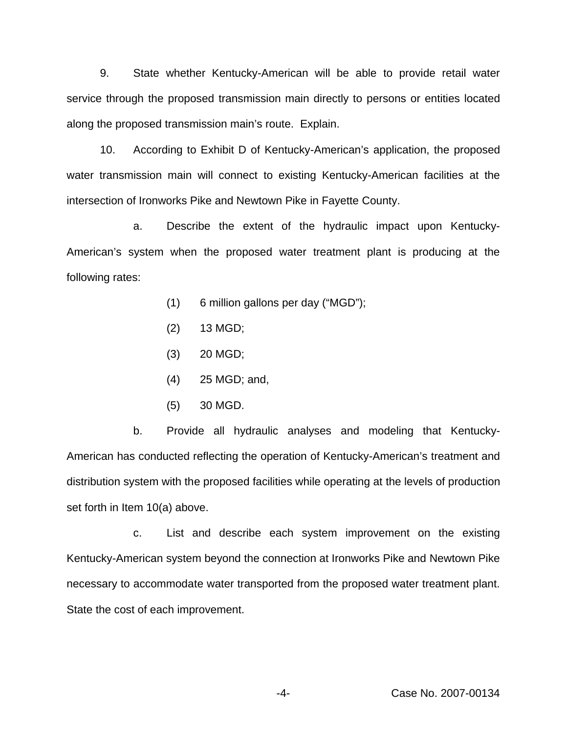9. State whether Kentucky-American will be able to provide retail water service through the proposed transmission main directly to persons or entities located along the proposed transmission main's route. Explain.

10. According to Exhibit D of Kentucky-American's application, the proposed water transmission main will connect to existing Kentucky-American facilities at the intersection of Ironworks Pike and Newtown Pike in Fayette County.

a. Describe the extent of the hydraulic impact upon Kentucky-American's system when the proposed water treatment plant is producing at the following rates:

- (1) 6 million gallons per day ("MGD");
- $(2)$  13 MGD;
- (3) 20 MGD;
- (4) 25 MGD; and,
- (5) 30 MGD.

b. Provide all hydraulic analyses and modeling that Kentucky-American has conducted reflecting the operation of Kentucky-American's treatment and distribution system with the proposed facilities while operating at the levels of production set forth in Item 10(a) above.

c. List and describe each system improvement on the existing Kentucky-American system beyond the connection at Ironworks Pike and Newtown Pike necessary to accommodate water transported from the proposed water treatment plant. State the cost of each improvement.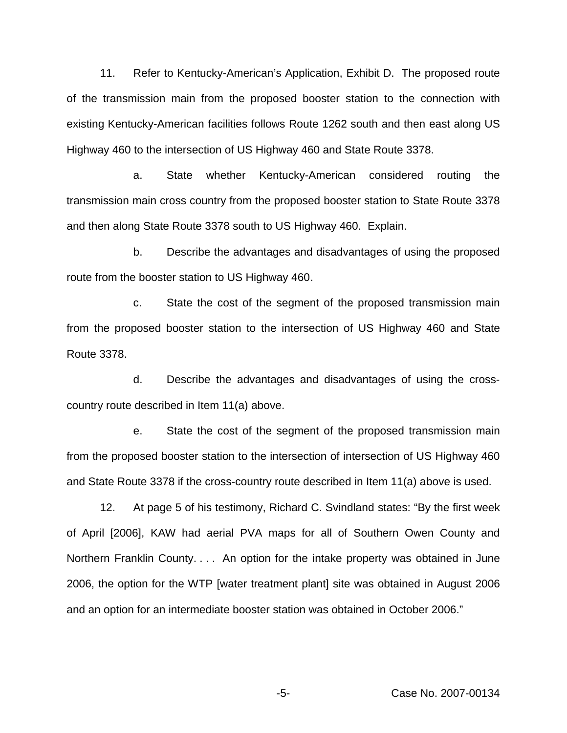11. Refer to Kentucky-American's Application, Exhibit D. The proposed route of the transmission main from the proposed booster station to the connection with existing Kentucky-American facilities follows Route 1262 south and then east along US Highway 460 to the intersection of US Highway 460 and State Route 3378.

a. State whether Kentucky-American considered routing the transmission main cross country from the proposed booster station to State Route 3378 and then along State Route 3378 south to US Highway 460. Explain.

b. Describe the advantages and disadvantages of using the proposed route from the booster station to US Highway 460.

c. State the cost of the segment of the proposed transmission main from the proposed booster station to the intersection of US Highway 460 and State Route 3378.

d. Describe the advantages and disadvantages of using the crosscountry route described in Item 11(a) above.

e. State the cost of the segment of the proposed transmission main from the proposed booster station to the intersection of intersection of US Highway 460 and State Route 3378 if the cross-country route described in Item 11(a) above is used.

12. At page 5 of his testimony, Richard C. Svindland states: "By the first week of April [2006], KAW had aerial PVA maps for all of Southern Owen County and Northern Franklin County. . . . An option for the intake property was obtained in June 2006, the option for the WTP [water treatment plant] site was obtained in August 2006 and an option for an intermediate booster station was obtained in October 2006."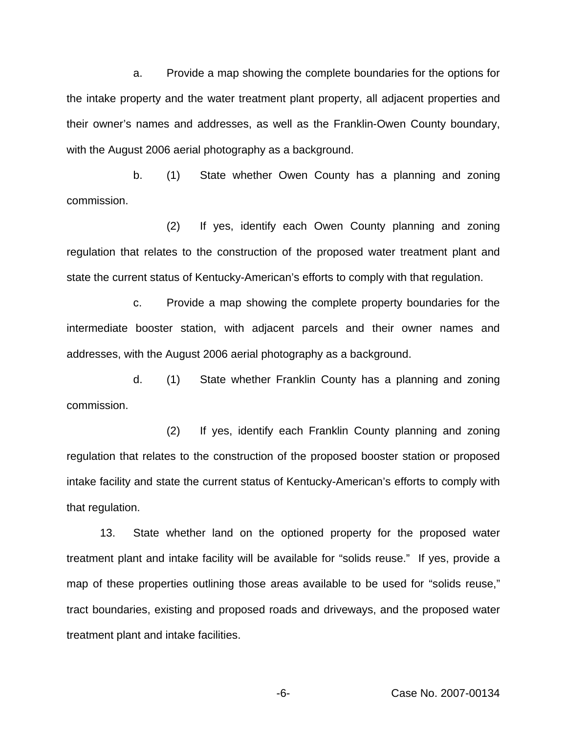a. Provide a map showing the complete boundaries for the options for the intake property and the water treatment plant property, all adjacent properties and their owner's names and addresses, as well as the Franklin-Owen County boundary, with the August 2006 aerial photography as a background.

b. (1) State whether Owen County has a planning and zoning commission.

(2) If yes, identify each Owen County planning and zoning regulation that relates to the construction of the proposed water treatment plant and state the current status of Kentucky-American's efforts to comply with that regulation.

c. Provide a map showing the complete property boundaries for the intermediate booster station, with adjacent parcels and their owner names and addresses, with the August 2006 aerial photography as a background.

d. (1) State whether Franklin County has a planning and zoning commission.

(2) If yes, identify each Franklin County planning and zoning regulation that relates to the construction of the proposed booster station or proposed intake facility and state the current status of Kentucky-American's efforts to comply with that regulation.

13. State whether land on the optioned property for the proposed water treatment plant and intake facility will be available for "solids reuse." If yes, provide a map of these properties outlining those areas available to be used for "solids reuse," tract boundaries, existing and proposed roads and driveways, and the proposed water treatment plant and intake facilities.

-6- Case No. 2007-00134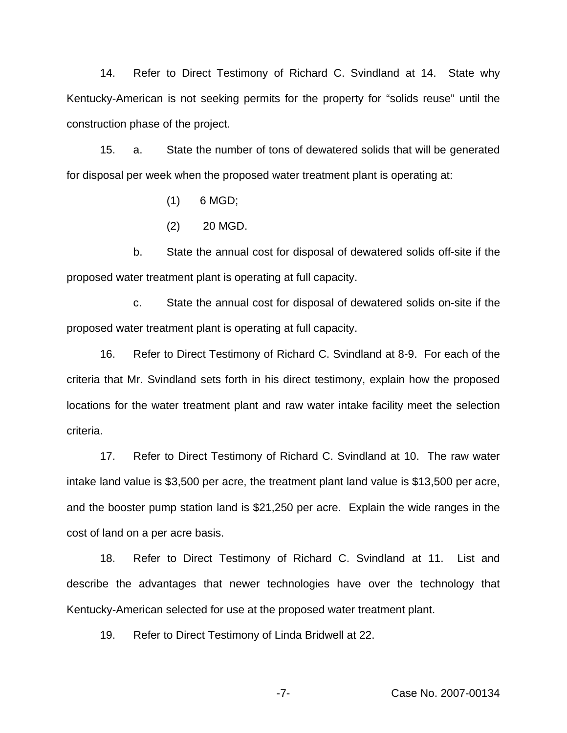14. Refer to Direct Testimony of Richard C. Svindland at 14. State why Kentucky-American is not seeking permits for the property for "solids reuse" until the construction phase of the project.

15. a. State the number of tons of dewatered solids that will be generated for disposal per week when the proposed water treatment plant is operating at:

- (1) 6 MGD;
- (2) 20 MGD.

b. State the annual cost for disposal of dewatered solids off-site if the proposed water treatment plant is operating at full capacity.

c. State the annual cost for disposal of dewatered solids on-site if the proposed water treatment plant is operating at full capacity.

16. Refer to Direct Testimony of Richard C. Svindland at 8-9. For each of the criteria that Mr. Svindland sets forth in his direct testimony, explain how the proposed locations for the water treatment plant and raw water intake facility meet the selection criteria.

17. Refer to Direct Testimony of Richard C. Svindland at 10. The raw water intake land value is \$3,500 per acre, the treatment plant land value is \$13,500 per acre, and the booster pump station land is \$21,250 per acre. Explain the wide ranges in the cost of land on a per acre basis.

18. Refer to Direct Testimony of Richard C. Svindland at 11. List and describe the advantages that newer technologies have over the technology that Kentucky-American selected for use at the proposed water treatment plant.

19. Refer to Direct Testimony of Linda Bridwell at 22.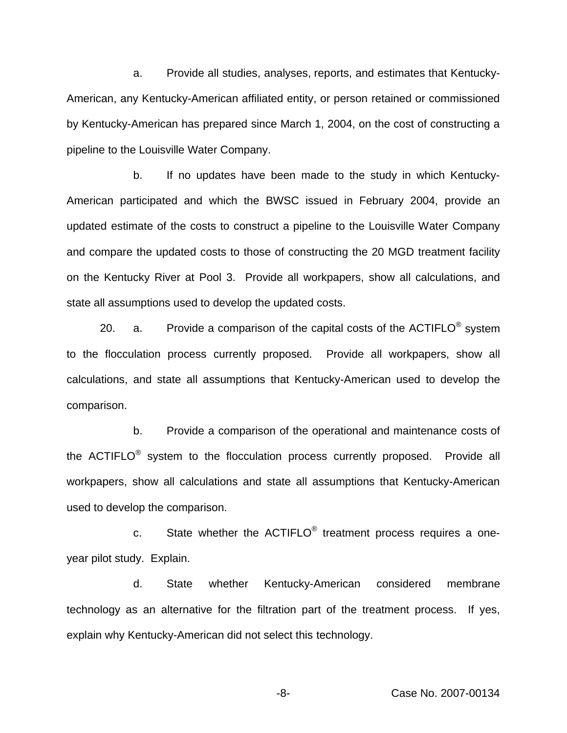a. Provide all studies, analyses, reports, and estimates that Kentucky-American, any Kentucky-American affiliated entity, or person retained or commissioned by Kentucky-American has prepared since March 1, 2004, on the cost of constructing a pipeline to the Louisville Water Company.

b. If no updates have been made to the study in which Kentucky-American participated and which the BWSC issued in February 2004, provide an updated estimate of the costs to construct a pipeline to the Louisville Water Company and compare the updated costs to those of constructing the 20 MGD treatment facility on the Kentucky River at Pool 3. Provide all workpapers, show all calculations, and state all assumptions used to develop the updated costs.

20. a. Provide a comparison of the capital costs of the  $ACTIFLO<sup>®</sup>$  system to the flocculation process currently proposed. Provide all workpapers, show all calculations, and state all assumptions that Kentucky-American used to develop the comparison.

b. Provide a comparison of the operational and maintenance costs of the ACTIFLO<sup>®</sup> system to the flocculation process currently proposed. Provide all workpapers, show all calculations and state all assumptions that Kentucky-American used to develop the comparison.

c. State whether the ACTIFLO® treatment process requires a oneyear pilot study. Explain.

d. State whether Kentucky-American considered membrane technology as an alternative for the filtration part of the treatment process. If yes, explain why Kentucky-American did not select this technology.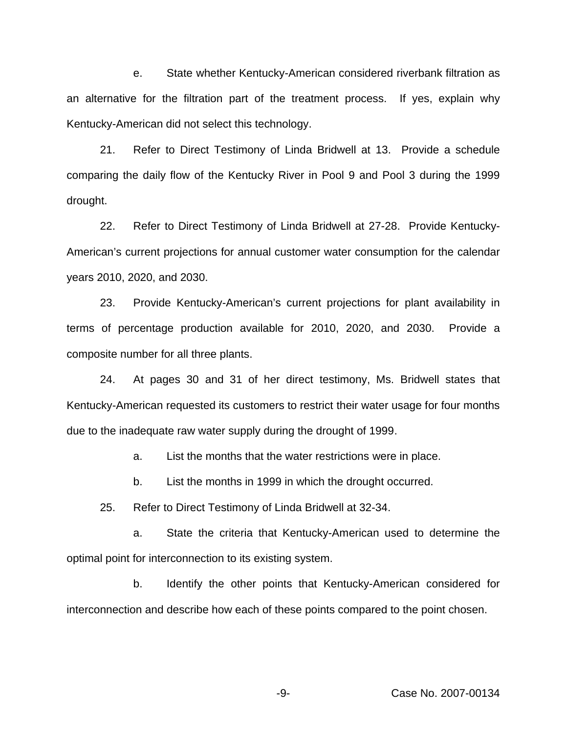e. State whether Kentucky-American considered riverbank filtration as an alternative for the filtration part of the treatment process. If yes, explain why Kentucky-American did not select this technology.

21. Refer to Direct Testimony of Linda Bridwell at 13. Provide a schedule comparing the daily flow of the Kentucky River in Pool 9 and Pool 3 during the 1999 drought.

22. Refer to Direct Testimony of Linda Bridwell at 27-28. Provide Kentucky-American's current projections for annual customer water consumption for the calendar years 2010, 2020, and 2030.

23. Provide Kentucky-American's current projections for plant availability in terms of percentage production available for 2010, 2020, and 2030. Provide a composite number for all three plants.

24. At pages 30 and 31 of her direct testimony, Ms. Bridwell states that Kentucky-American requested its customers to restrict their water usage for four months due to the inadequate raw water supply during the drought of 1999.

a. List the months that the water restrictions were in place.

b. List the months in 1999 in which the drought occurred.

25. Refer to Direct Testimony of Linda Bridwell at 32-34.

a. State the criteria that Kentucky-American used to determine the optimal point for interconnection to its existing system.

b. Identify the other points that Kentucky-American considered for interconnection and describe how each of these points compared to the point chosen.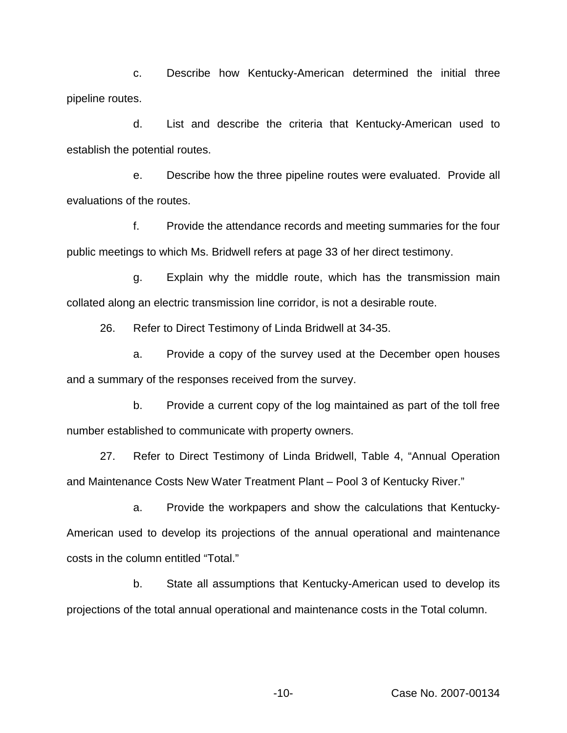c. Describe how Kentucky-American determined the initial three pipeline routes.

d. List and describe the criteria that Kentucky-American used to establish the potential routes.

e. Describe how the three pipeline routes were evaluated. Provide all evaluations of the routes.

f. Provide the attendance records and meeting summaries for the four public meetings to which Ms. Bridwell refers at page 33 of her direct testimony.

g. Explain why the middle route, which has the transmission main collated along an electric transmission line corridor, is not a desirable route.

26. Refer to Direct Testimony of Linda Bridwell at 34-35.

a. Provide a copy of the survey used at the December open houses and a summary of the responses received from the survey.

b. Provide a current copy of the log maintained as part of the toll free number established to communicate with property owners.

27. Refer to Direct Testimony of Linda Bridwell, Table 4, "Annual Operation and Maintenance Costs New Water Treatment Plant – Pool 3 of Kentucky River."

a. Provide the workpapers and show the calculations that Kentucky-American used to develop its projections of the annual operational and maintenance costs in the column entitled "Total."

b. State all assumptions that Kentucky-American used to develop its projections of the total annual operational and maintenance costs in the Total column.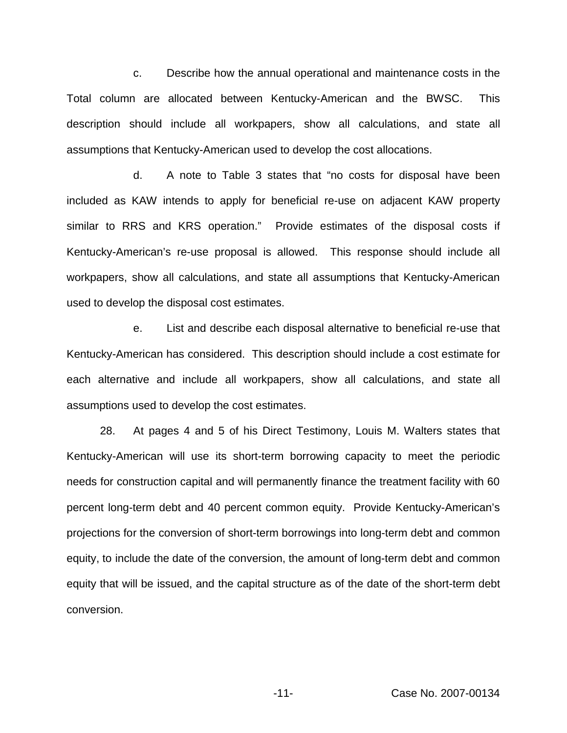c. Describe how the annual operational and maintenance costs in the Total column are allocated between Kentucky-American and the BWSC. This description should include all workpapers, show all calculations, and state all assumptions that Kentucky-American used to develop the cost allocations.

d. A note to Table 3 states that "no costs for disposal have been included as KAW intends to apply for beneficial re-use on adjacent KAW property similar to RRS and KRS operation." Provide estimates of the disposal costs if Kentucky-American's re-use proposal is allowed. This response should include all workpapers, show all calculations, and state all assumptions that Kentucky-American used to develop the disposal cost estimates.

e. List and describe each disposal alternative to beneficial re-use that Kentucky-American has considered. This description should include a cost estimate for each alternative and include all workpapers, show all calculations, and state all assumptions used to develop the cost estimates.

28. At pages 4 and 5 of his Direct Testimony, Louis M. Walters states that Kentucky-American will use its short-term borrowing capacity to meet the periodic needs for construction capital and will permanently finance the treatment facility with 60 percent long-term debt and 40 percent common equity. Provide Kentucky-American's projections for the conversion of short-term borrowings into long-term debt and common equity, to include the date of the conversion, the amount of long-term debt and common equity that will be issued, and the capital structure as of the date of the short-term debt conversion.

-11- Case No. 2007-00134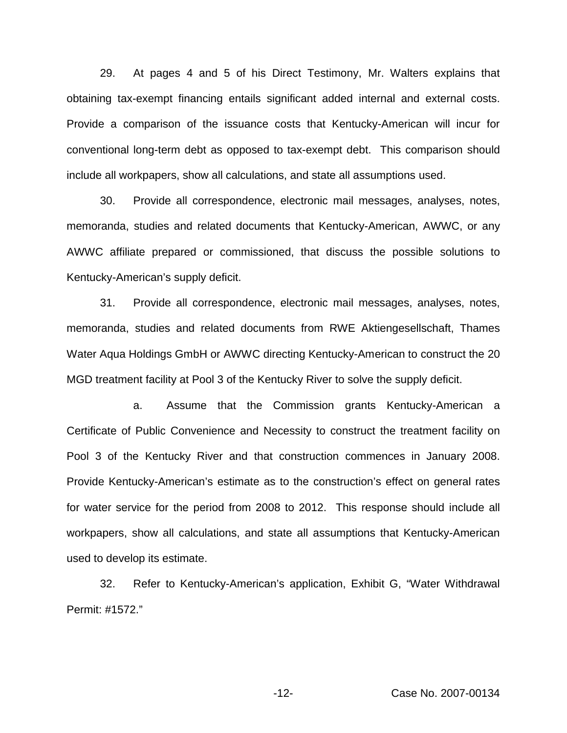29. At pages 4 and 5 of his Direct Testimony, Mr. Walters explains that obtaining tax-exempt financing entails significant added internal and external costs. Provide a comparison of the issuance costs that Kentucky-American will incur for conventional long-term debt as opposed to tax-exempt debt. This comparison should include all workpapers, show all calculations, and state all assumptions used.

30. Provide all correspondence, electronic mail messages, analyses, notes, memoranda, studies and related documents that Kentucky-American, AWWC, or any AWWC affiliate prepared or commissioned, that discuss the possible solutions to Kentucky-American's supply deficit.

31. Provide all correspondence, electronic mail messages, analyses, notes, memoranda, studies and related documents from RWE Aktiengesellschaft, Thames Water Aqua Holdings GmbH or AWWC directing Kentucky-American to construct the 20 MGD treatment facility at Pool 3 of the Kentucky River to solve the supply deficit.

a. Assume that the Commission grants Kentucky-American a Certificate of Public Convenience and Necessity to construct the treatment facility on Pool 3 of the Kentucky River and that construction commences in January 2008. Provide Kentucky-American's estimate as to the construction's effect on general rates for water service for the period from 2008 to 2012. This response should include all workpapers, show all calculations, and state all assumptions that Kentucky-American used to develop its estimate.

32. Refer to Kentucky-American's application, Exhibit G, "Water Withdrawal Permit: #1572."

-12- Case No. 2007-00134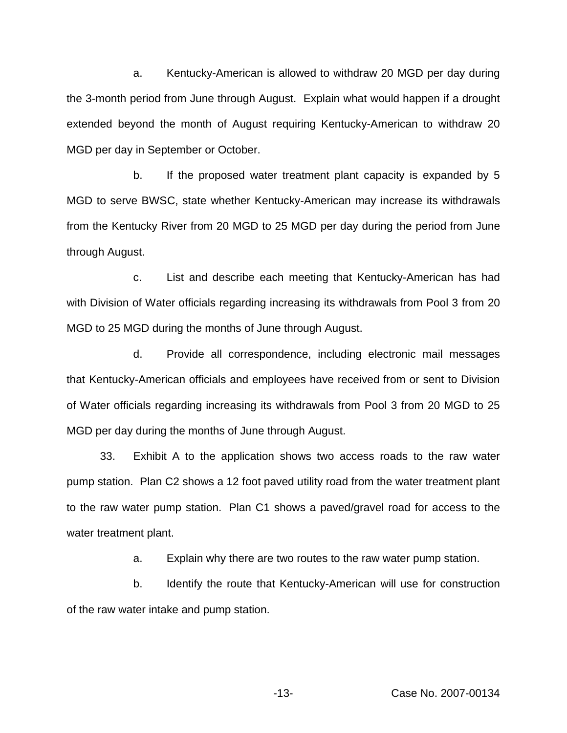a. Kentucky-American is allowed to withdraw 20 MGD per day during the 3-month period from June through August. Explain what would happen if a drought extended beyond the month of August requiring Kentucky-American to withdraw 20 MGD per day in September or October.

b. If the proposed water treatment plant capacity is expanded by 5 MGD to serve BWSC, state whether Kentucky-American may increase its withdrawals from the Kentucky River from 20 MGD to 25 MGD per day during the period from June through August.

c. List and describe each meeting that Kentucky-American has had with Division of Water officials regarding increasing its withdrawals from Pool 3 from 20 MGD to 25 MGD during the months of June through August.

d. Provide all correspondence, including electronic mail messages that Kentucky-American officials and employees have received from or sent to Division of Water officials regarding increasing its withdrawals from Pool 3 from 20 MGD to 25 MGD per day during the months of June through August.

33. Exhibit A to the application shows two access roads to the raw water pump station. Plan C2 shows a 12 foot paved utility road from the water treatment plant to the raw water pump station. Plan C1 shows a paved/gravel road for access to the water treatment plant.

a. Explain why there are two routes to the raw water pump station.

b. Identify the route that Kentucky-American will use for construction of the raw water intake and pump station.

-13- Case No. 2007-00134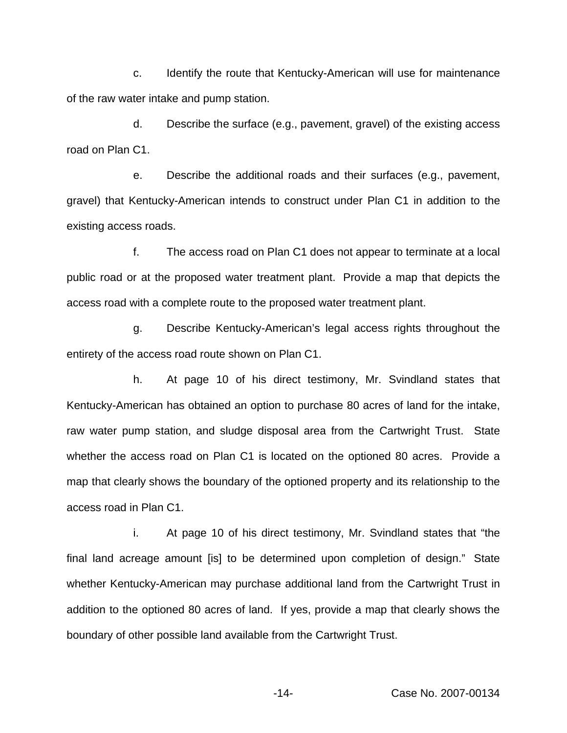c. Identify the route that Kentucky-American will use for maintenance of the raw water intake and pump station.

d. Describe the surface (e.g., pavement, gravel) of the existing access road on Plan C1.

e. Describe the additional roads and their surfaces (e.g., pavement, gravel) that Kentucky-American intends to construct under Plan C1 in addition to the existing access roads.

f. The access road on Plan C1 does not appear to terminate at a local public road or at the proposed water treatment plant. Provide a map that depicts the access road with a complete route to the proposed water treatment plant.

g. Describe Kentucky-American's legal access rights throughout the entirety of the access road route shown on Plan C1.

h. At page 10 of his direct testimony, Mr. Svindland states that Kentucky-American has obtained an option to purchase 80 acres of land for the intake, raw water pump station, and sludge disposal area from the Cartwright Trust. State whether the access road on Plan C1 is located on the optioned 80 acres. Provide a map that clearly shows the boundary of the optioned property and its relationship to the access road in Plan C1.

i. At page 10 of his direct testimony, Mr. Svindland states that "the final land acreage amount [is] to be determined upon completion of design." State whether Kentucky-American may purchase additional land from the Cartwright Trust in addition to the optioned 80 acres of land. If yes, provide a map that clearly shows the boundary of other possible land available from the Cartwright Trust.